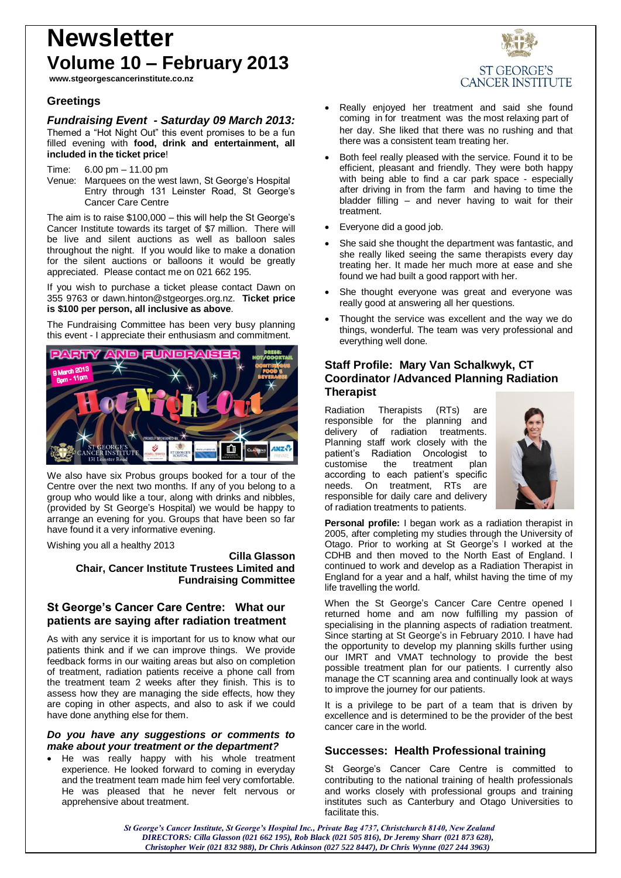# **Newsletter Volume 10 – February 2013**

**www.stgeorgescancerinstitute.co.nz**

# **Greetings**

## *Fundraising Event - Saturday 09 March 2013:*

Themed a "Hot Night Out" this event promises to be a fun filled evening with **food, drink and entertainment, all included in the ticket price**!

Time: 6.00 pm – 11.00 pm

Venue: Marquees on the west lawn, St George's Hospital Entry through 131 Leinster Road, St George's Cancer Care Centre

The aim is to raise \$100,000 – this will help the St George's Cancer Institute towards its target of \$7 million. There will be live and silent auctions as well as balloon sales throughout the night. If you would like to make a donation for the silent auctions or balloons it would be greatly appreciated. Please contact me on 021 662 195.

If you wish to purchase a ticket please contact Dawn on 355 9763 or dawn.hinton@stgeorges.org.nz. **Ticket price is \$100 per person, all inclusive as above**.

The Fundraising Committee has been very busy planning this event - I appreciate their enthusiasm and commitment.



We also have six Probus groups booked for a tour of the Centre over the next two months. If any of you belong to a group who would like a tour, along with drinks and nibbles, (provided by St George's Hospital) we would be happy to arrange an evening for you. Groups that have been so far have found it a very informative evening.

Wishing you all a healthy 2013

**Cilla Glasson Chair, Cancer Institute Trustees Limited and Fundraising Committee**

## **St George's Cancer Care Centre: What our patients are saying after radiation treatment**

As with any service it is important for us to know what our patients think and if we can improve things. We provide feedback forms in our waiting areas but also on completion of treatment, radiation patients receive a phone call from the treatment team 2 weeks after they finish. This is to assess how they are managing the side effects, how they are coping in other aspects, and also to ask if we could have done anything else for them.

## *Do you have any suggestions or comments to make about your treatment or the department?*

 He was really happy with his whole treatment experience. He looked forward to coming in everyday and the treatment team made him feel very comfortable. He was pleased that he never felt nervous or apprehensive about treatment.



- Really enjoyed her treatment and said she found coming in for treatment was the most relaxing part of her day. She liked that there was no rushing and that there was a consistent team treating her.
- Both feel really pleased with the service. Found it to be efficient, pleasant and friendly. They were both happy with being able to find a car park space - especially after driving in from the farm and having to time the bladder filling – and never having to wait for their treatment.
- Everyone did a good job.
- She said she thought the department was fantastic, and she really liked seeing the same therapists every day treating her. It made her much more at ease and she found we had built a good rapport with her.
- She thought everyone was great and everyone was really good at answering all her questions.
- Thought the service was excellent and the way we do things, wonderful. The team was very professional and everything well done.

# **Staff Profile: Mary Van Schalkwyk, CT Coordinator /Advanced Planning Radiation Therapist**

Radiation Therapists (RTs) are responsible for the planning and delivery of radiation treatments. Planning staff work closely with the patient's Radiation Oncologist to customise the treatment plan according to each patient's specific needs. On treatment, RTs are responsible for daily care and delivery of radiation treatments to patients.



**Personal profile:** I began work as a radiation therapist in 2005, after completing my studies through the University of Otago. Prior to working at St George's I worked at the CDHB and then moved to the North East of England. I continued to work and develop as a Radiation Therapist in England for a year and a half, whilst having the time of my life travelling the world.

When the St George's Cancer Care Centre opened I returned home and am now fulfilling my passion of specialising in the planning aspects of radiation treatment. Since starting at St George's in February 2010. I have had the opportunity to develop my planning skills further using our IMRT and VMAT technology to provide the best possible treatment plan for our patients. I currently also manage the CT scanning area and continually look at ways to improve the journey for our patients.

It is a privilege to be part of a team that is driven by excellence and is determined to be the provider of the best cancer care in the world.

## **Successes: Health Professional training**

St George's Cancer Care Centre is committed to contributing to the national training of health professionals and works closely with professional groups and training institutes such as Canterbury and Otago Universities to facilitate this.

*St George's Cancer Institute, St George's Hospital Inc., Private Bag 4737, Christchurch 8140, New Zealand DIRECTORS: Cilla Glasson (021 662 195), Rob Black (021 505 816), Dr Jeremy Sharr (021 873 628), Christopher Weir (021 832 988), Dr Chris Atkinson (027 522 8447), Dr Chris Wynne (027 244 3963)*